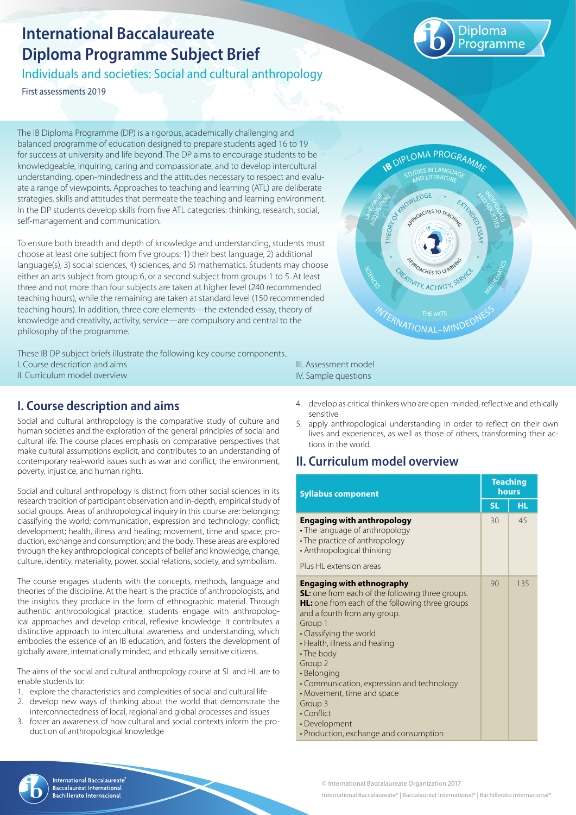# **International Baccalaureate Diploma Programme Subject Brief**

Individuals and societies: Social and cultural anthropology

First assessments 2019

The IB Diploma Programme (DP) is a rigorous, academically challenging and balanced programme of education designed to prepare students aged 16 to 19 for success at university and life beyond. The DP aims to encourage students to be knowledgeable, inquiring, caring and compassionate, and to develop intercultural understanding, open-mindedness and the attitudes necessary to respect and evaluate a range of viewpoints. Approaches to teaching and learning (ATL) are deliberate strategies, skills and attitudes that permeate the teaching and learning environment. In the DP students develop skills from five ATL categories: thinking, research, social, self-management and communication.

To ensure both breadth and depth of knowledge and understanding, students must choose at least one subject from five groups: 1) their best language, 2) additional language(s), 3) social sciences, 4) sciences, and 5) mathematics. Students may choose either an arts subject from group 6, or a second subject from groups 1 to 5. At least three and not more than four subjects are taken at higher level (240 recommended teaching hours), while the remaining are taken at standard level (150 recommended teaching hours). In addition, three core elements—the extended essay, theory of knowledge and creativity, activity, service—are compulsory and central to the philosophy of the programme.

These IB DP subject briefs illustrate the following key course components.. I. Course description and aims II. Curriculum model overview

## **I. Course description and aims**

Social and cultural anthropology is the comparative study of culture and human societies and the exploration of the general principles of social and cultural life. The course places emphasis on comparative perspectives that make cultural assumptions explicit, and contributes to an understanding of contemporary real-world issues such as war and conflict, the environment, poverty, injustice, and human rights.

Social and cultural anthropology is distinct from other social sciences in its research tradition of participant observation and in-depth, empirical study of social groups. Areas of anthropological inquiry in this course are: belonging; classifying the world; communication, expression and technology; conflict; development; health, illness and healing; movement, time and space; production, exchange and consumption; and the body. These areas are explored through the key anthropological concepts of belief and knowledge, change, culture, identity, materiality, power, social relations, society, and symbolism.

The course engages students with the concepts, methods, language and theories of the discipline. At the heart is the practice of anthropologists, and the insights they produce in the form of ethnographic material. Through authentic anthropological practice, students engage with anthropological approaches and develop critical, reflexive knowledge. It contributes a distinctive approach to intercultural awareness and understanding, which embodies the essence of an IB education, and fosters the development of globally aware, internationally minded, and ethically sensitive citizens.

The aims of the social and cultural anthropology course at SL and HL are to enable students to:

- 1. explore the characteristics and complexities of social and cultural life
- 2. develop new ways of thinking about the world that demonstrate the interconnectedness of local, regional and global processes and issues
- 3. foster an awareness of how cultural and social contexts inform the production of anthropological knowledge

### III. Assessment model IV. Sample questions

- 4. develop as critical thinkers who are open-minded, reflective and ethically sensitive
- 5. apply anthropological understanding in order to reflect on their own lives and experiences, as well as those of others, transforming their actions in the world.

## **II. Curriculum model overview**

| <b>Syllabus component</b>                                                                                                                                                                                                                                                                                                                                                                                                                                                |    | <b>Teaching</b><br>hours |  |
|--------------------------------------------------------------------------------------------------------------------------------------------------------------------------------------------------------------------------------------------------------------------------------------------------------------------------------------------------------------------------------------------------------------------------------------------------------------------------|----|--------------------------|--|
|                                                                                                                                                                                                                                                                                                                                                                                                                                                                          |    | HL.                      |  |
| <b>Engaging with anthropology</b><br>• The language of anthropology<br>• The practice of anthropology<br>• Anthropological thinking                                                                                                                                                                                                                                                                                                                                      | 30 | 45                       |  |
| Plus HL extension areas                                                                                                                                                                                                                                                                                                                                                                                                                                                  |    |                          |  |
| <b>Engaging with ethnography</b><br><b>SL:</b> one from each of the following three groups.<br>HL: one from each of the following three groups<br>and a fourth from any group.<br>Group 1<br>• Classifying the world<br>• Health, illness and healing<br>• The body<br>Group <sub>2</sub><br>• Belonging<br>• Communication, expression and technology<br>• Movement, time and space<br>Group 3<br>• Conflict<br>• Development<br>· Production, exchange and consumption | 90 | 135                      |  |



© International Baccalaureate Organization 2017